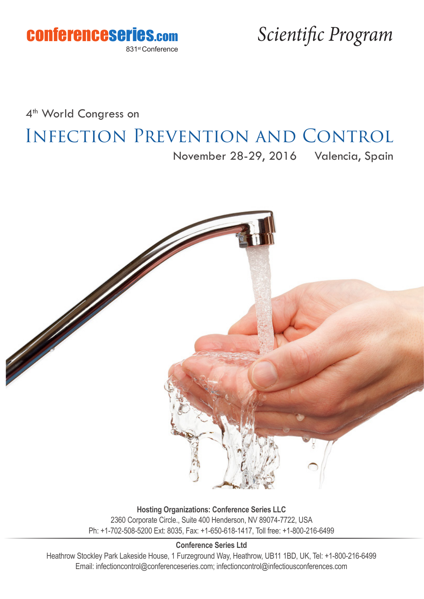

4<sup>th</sup> World Congress on

# Infection Prevention and Control

November 28-29, 2016 Valencia, Spain



**Hosting Organizations: Conference Series LLC** 2360 Corporate Circle., Suite 400 Henderson, NV 89074-7722, USA Ph: +1-702-508-5200 Ext: 8035, Fax: +1-650-618-1417, Toll free: +1-800-216-6499

**Conference Series Ltd**

Heathrow Stockley Park Lakeside House, 1 Furzeground Way, Heathrow, UB11 1BD, UK, Tel: +1-800-216-6499 Email: infectioncontrol@conferenceseries.com; infectioncontrol@infectiousconferences.com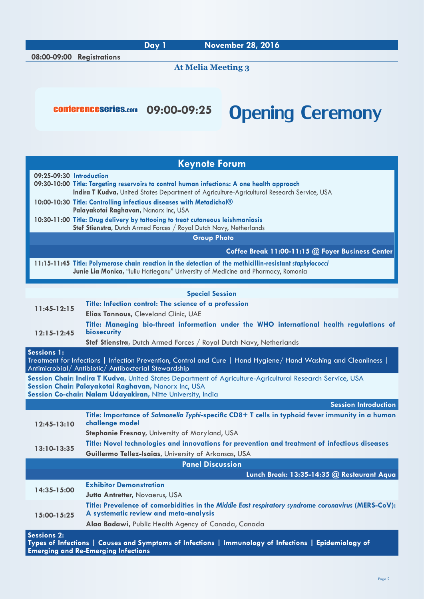**At Melia Meeting 3**

## conferenceseries.com 09:00-09:25 **Opening Ceremony**

| <b>Keynote Forum</b>                                                                                                                                                                                                             |                                                                                                                                                                                                                                                                 |  |
|----------------------------------------------------------------------------------------------------------------------------------------------------------------------------------------------------------------------------------|-----------------------------------------------------------------------------------------------------------------------------------------------------------------------------------------------------------------------------------------------------------------|--|
| 09:25-09:30 Introduction                                                                                                                                                                                                         | 09:30-10:00 Title: Targeting reservoirs to control human infections: A one health approach<br>Indira T Kudva, United States Department of Agriculture-Agricultural Research Service, USA<br>10:00-10:30 Title: Controlling infectious diseases with Metadichol® |  |
|                                                                                                                                                                                                                                  | Palayakotai Raghavan, Nanorx Inc, USA<br>10:30-11:00 Title: Drug delivery by tattooing to treat cutaneous leishmaniasis                                                                                                                                         |  |
| Stef Stienstra, Dutch Armed Forces / Royal Dutch Navy, Netherlands                                                                                                                                                               |                                                                                                                                                                                                                                                                 |  |
| <b>Group Photo</b>                                                                                                                                                                                                               |                                                                                                                                                                                                                                                                 |  |
|                                                                                                                                                                                                                                  | Coffee Break 11:00-11:15 @ Foyer Business Center                                                                                                                                                                                                                |  |
|                                                                                                                                                                                                                                  | 11:15-11:45 Title: Polymerase chain reaction in the detection of the methicillin-resistant staphylococci<br>Junie Lia Monica, "Iuliu Hatieganu" University of Medicine and Pharmacy, Romania                                                                    |  |
|                                                                                                                                                                                                                                  | <b>Special Session</b>                                                                                                                                                                                                                                          |  |
| $11:45-12:15$                                                                                                                                                                                                                    | Title: Infection control: The science of a profession                                                                                                                                                                                                           |  |
|                                                                                                                                                                                                                                  | Elias Tannous, Cleveland Clinic, UAE                                                                                                                                                                                                                            |  |
| $12:15 - 12:45$                                                                                                                                                                                                                  | Title: Managing bio-threat information under the WHO international health regulations of<br>biosecurity                                                                                                                                                         |  |
|                                                                                                                                                                                                                                  | Stef Stienstra, Dutch Armed Forces / Royal Dutch Navy, Netherlands                                                                                                                                                                                              |  |
| <b>Sessions 1:</b><br>Treatment for Infections   Infection Prevention, Control and Cure   Hand Hygiene/ Hand Washing and Cleanliness  <br>Antimicrobial/ Antibiotic/ Antibacterial Stewardship                                   |                                                                                                                                                                                                                                                                 |  |
| Session Chair: Indira T Kudva, United States Department of Agriculture-Agricultural Research Service, USA<br>Session Chair: Palayakotai Raghavan, Nanorx Inc, USA<br>Session Co-chair: Nalam Udayakiran, Nitte University, India |                                                                                                                                                                                                                                                                 |  |
|                                                                                                                                                                                                                                  | <b>Session Introduction</b>                                                                                                                                                                                                                                     |  |
| $12:45-13:10$                                                                                                                                                                                                                    | Title: Importance of Salmonella Typhi-specific CD8+ T cells in typhoid fever immunity in a human<br>challenge model                                                                                                                                             |  |
|                                                                                                                                                                                                                                  | <b>Stephanie Fresnay, University of Maryland, USA</b>                                                                                                                                                                                                           |  |
| $13:10 - 13:35$                                                                                                                                                                                                                  | Title: Novel technologies and innovations for prevention and treatment of infectious diseases<br>Guillermo Tellez-Isaias, University of Arkansas, USA                                                                                                           |  |
|                                                                                                                                                                                                                                  | <b>Panel Discussion</b>                                                                                                                                                                                                                                         |  |
|                                                                                                                                                                                                                                  | Lunch Break: 13:35-14:35 @ Restaurant Aqua                                                                                                                                                                                                                      |  |
| 14:35-15:00                                                                                                                                                                                                                      | <b>Exhibitor Demonstration</b><br><b>Jutta Antretter, Novaerus, USA</b>                                                                                                                                                                                         |  |
| 15:00-15:25                                                                                                                                                                                                                      | Title: Prevalence of comorbidities in the Middle East respiratory syndrome coronavirus (MERS-CoV):<br>A systematic review and meta-analysis                                                                                                                     |  |
|                                                                                                                                                                                                                                  | Alaa Badawi, Public Health Agency of Canada, Canada                                                                                                                                                                                                             |  |
| <b>Sessions 2:</b>                                                                                                                                                                                                               |                                                                                                                                                                                                                                                                 |  |

**Types of Infections | Causes and Symptoms of Infections | Immunology of Infections | Epidemiology of Emerging and Re-Emerging Infections**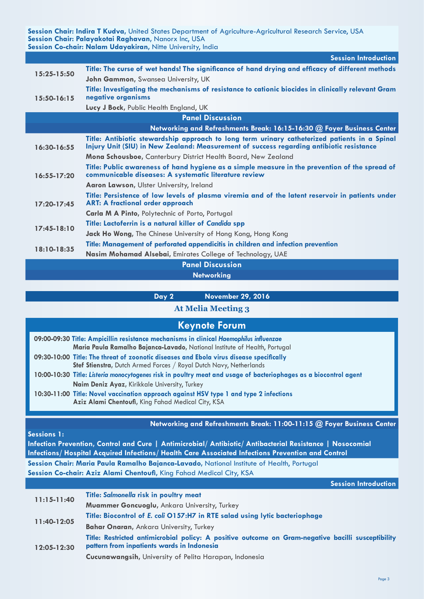**Session Chair: Indira T Kudva,** United States Department of Agriculture-Agricultural Research Service, USA **Session Chair: Palayakotai Raghavan,** Nanorx Inc, USA Session Co-chair: Nalam Udayakiran, Nitte University, India

|                         | <b>Session Introduction</b>                                                                                                                                                               |  |
|-------------------------|-------------------------------------------------------------------------------------------------------------------------------------------------------------------------------------------|--|
| 15:25-15:50             | Title: The curse of wet hands! The significance of hand drying and efficacy of different methods                                                                                          |  |
|                         | John Gammon, Swansea University, UK                                                                                                                                                       |  |
| $15:50-16:15$           | Title: Investigating the mechanisms of resistance to cationic biocides in clinically relevant Gram<br>negative organisms                                                                  |  |
|                         | Lucy J Bock, Public Health England, UK                                                                                                                                                    |  |
| <b>Panel Discussion</b> |                                                                                                                                                                                           |  |
|                         | Networking and Refreshments Break: 16:15-16:30 @ Foyer Business Center                                                                                                                    |  |
| 16:30-16:55             | Title: Antibiotic stewardship approach to long term urinary catheterized patients in a Spinal<br>Injury Unit (SIU) in New Zealand: Measurement of success regarding antibiotic resistance |  |
|                         | Mona Schousboe, Canterbury District Health Board, New Zealand                                                                                                                             |  |
| $16:55 - 17:20$         | Title: Public awareness of hand hygiene as a simple measure in the prevention of the spread of<br>communicable diseases: A systematic literature review                                   |  |
|                         | Aaron Lawson, Ulster University, Ireland                                                                                                                                                  |  |
| $17:20 - 17:45$         | Title: Persistence of low levels of plasma viremia and of the latent reservoir in patients under<br><b>ART: A fractional order approach</b>                                               |  |
|                         | Carla M A Pinto, Polytechnic of Porto, Portugal                                                                                                                                           |  |
| $17:45-18:10$           | Title: Lactoferrin is a natural killer of Candida spp                                                                                                                                     |  |
|                         | <b>Jack Ho Wong, The Chinese University of Hong Kong, Hong Kong</b>                                                                                                                       |  |
| 18:10-18:35             | Title: Management of perforated appendicitis in children and infection prevention                                                                                                         |  |
|                         | Nasim Mohamad Alsebai, Emirates College of Technology, UAE                                                                                                                                |  |
|                         | <b>Panel Discussion</b>                                                                                                                                                                   |  |

**Networking**

**Day 2 November 29, 2016**

#### **At Melia Meeting 3**

| <b>Keynote Forum</b>                                                                                                                                                                                                                  |  |
|---------------------------------------------------------------------------------------------------------------------------------------------------------------------------------------------------------------------------------------|--|
| 09:00-09:30 Title: Ampicillin resistance mechanisms in clinical Haemophilus influenzae<br>Maria Paula Ramalho Bajanca-Lavado, National Institute of Health, Portugal                                                                  |  |
| 09:30-10:00 Title: The threat of zoonotic diseases and Ebola virus disease specifically<br>Stef Stienstra, Dutch Armed Forces / Royal Dutch Navy, Netherlands                                                                         |  |
| 10:00-10:30 Title: Listeria monocytogenes risk in poultry meat and usage of bacteriophages as a biocontrol agent<br>Naim Deniz Ayaz, Kirikkale University, Turkey                                                                     |  |
| 10:30-11:00 Title: Novel vaccination approach against HSV type 1 and type 2 infections<br>Aziz Alami Chentoufi, King Fahad Medical City, KSA                                                                                          |  |
| Networking and Refreshments Break: 11:00-11:15 @ Foyer Business Center                                                                                                                                                                |  |
| <b>Sessions 1:</b><br>Infection Prevention, Control and Cure   Antimicrobial/ Antibiotic/ Antibacterial Resistance   Nosocomial<br>Infections/ Hospital Acquired Infections/ Health Care Associated Infections Prevention and Control |  |

**Session Chair: Maria Paula Ramalho Bajanca-Lavado,** National Institute of Health, Portugal **Session Co-chair: Aziz Alami Chentoufi,** King Fahad Medical City, KSA

**Session Introduction**

| $11:15 - 11:40$ | Title: Salmonella risk in poultry meat                                                                                                           |
|-----------------|--------------------------------------------------------------------------------------------------------------------------------------------------|
|                 | <b>Muammer Goncuoglu, Ankara University, Turkey</b>                                                                                              |
| 11:40-12:05     | Title: Biocontrol of E. coli 0157:H7 in RTE salad using lytic bacteriophage                                                                      |
|                 | <b>Bahar Onaran, Ankara University, Turkey</b>                                                                                                   |
| 12:05-12:30     | Title: Restricted antimicrobial policy: A positive outcome on Gram-negative bacilli susceptibility<br>pattern from inpatients wards in Indonesia |
|                 | Cucunawangsih, University of Pelita Harapan, Indonesia                                                                                           |